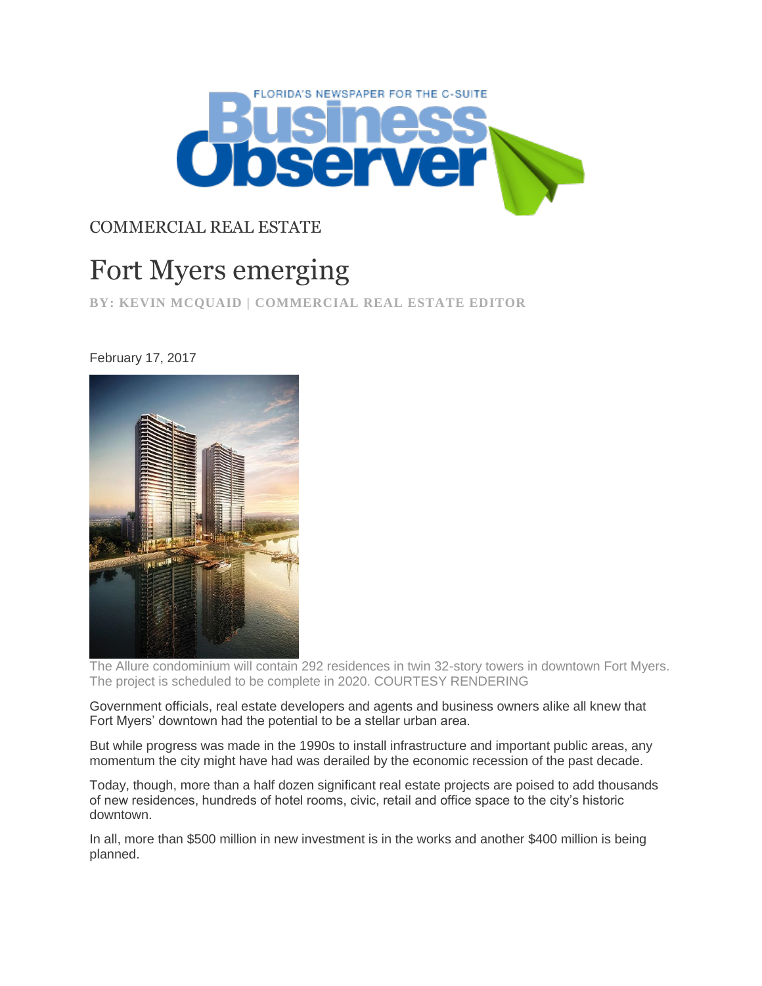

## COMMERCIAL REAL ESTATE

## Fort Myers emerging

**BY: KEVIN MCQUAID | COMMERCIAL REAL ESTATE EDITOR**

## February 17, 2017



The Allure condominium will contain 292 residences in twin 32-story towers in downtown Fort Myers. The project is scheduled to be complete in 2020. COURTESY RENDERING

Government officials, real estate developers and agents and business owners alike all knew that Fort Myers' downtown had the potential to be a stellar urban area.

But while progress was made in the 1990s to install infrastructure and important public areas, any momentum the city might have had was derailed by the economic recession of the past decade.

Today, though, more than a half dozen significant real estate projects are poised to add thousands of new residences, hundreds of hotel rooms, civic, retail and office space to the city's historic downtown.

In all, more than \$500 million in new investment is in the works and another \$400 million is being planned.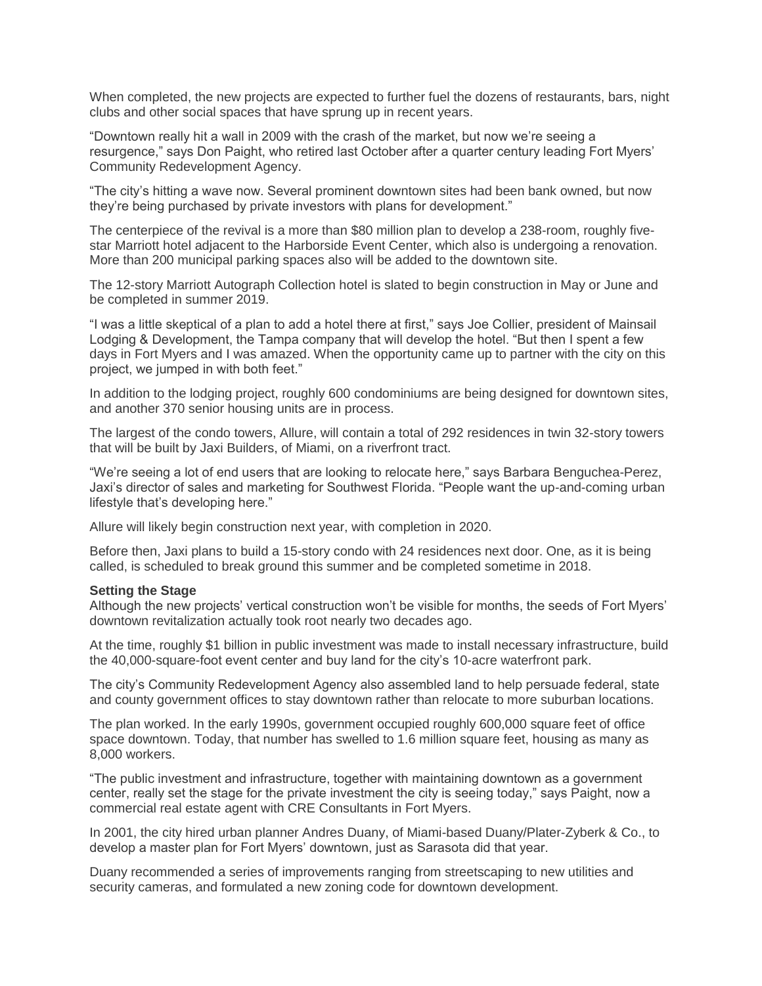When completed, the new projects are expected to further fuel the dozens of restaurants, bars, night clubs and other social spaces that have sprung up in recent years.

"Downtown really hit a wall in 2009 with the crash of the market, but now we're seeing a resurgence," says Don Paight, who retired last October after a quarter century leading Fort Myers' Community Redevelopment Agency.

"The city's hitting a wave now. Several prominent downtown sites had been bank owned, but now they're being purchased by private investors with plans for development."

The centerpiece of the revival is a more than \$80 million plan to develop a 238-room, roughly fivestar Marriott hotel adjacent to the Harborside Event Center, which also is undergoing a renovation. More than 200 municipal parking spaces also will be added to the downtown site.

The 12-story Marriott Autograph Collection hotel is slated to begin construction in May or June and be completed in summer 2019.

"I was a little skeptical of a plan to add a hotel there at first," says Joe Collier, president of Mainsail Lodging & Development, the Tampa company that will develop the hotel. "But then I spent a few days in Fort Myers and I was amazed. When the opportunity came up to partner with the city on this project, we jumped in with both feet."

In addition to the lodging project, roughly 600 condominiums are being designed for downtown sites, and another 370 senior housing units are in process.

The largest of the condo towers, Allure, will contain a total of 292 residences in twin 32-story towers that will be built by Jaxi Builders, of Miami, on a riverfront tract.

"We're seeing a lot of end users that are looking to relocate here," says Barbara Benguchea-Perez, Jaxi's director of sales and marketing for Southwest Florida. "People want the up-and-coming urban lifestyle that's developing here."

Allure will likely begin construction next year, with completion in 2020.

Before then, Jaxi plans to build a 15-story condo with 24 residences next door. One, as it is being called, is scheduled to break ground this summer and be completed sometime in 2018.

## **Setting the Stage**

Although the new projects' vertical construction won't be visible for months, the seeds of Fort Myers' downtown revitalization actually took root nearly two decades ago.

At the time, roughly \$1 billion in public investment was made to install necessary infrastructure, build the 40,000-square-foot event center and buy land for the city's 10-acre waterfront park.

The city's Community Redevelopment Agency also assembled land to help persuade federal, state and county government offices to stay downtown rather than relocate to more suburban locations.

The plan worked. In the early 1990s, government occupied roughly 600,000 square feet of office space downtown. Today, that number has swelled to 1.6 million square feet, housing as many as 8,000 workers.

"The public investment and infrastructure, together with maintaining downtown as a government center, really set the stage for the private investment the city is seeing today," says Paight, now a commercial real estate agent with CRE Consultants in Fort Myers.

In 2001, the city hired urban planner Andres Duany, of Miami-based Duany/Plater-Zyberk & Co., to develop a master plan for Fort Myers' downtown, just as Sarasota did that year.

Duany recommended a series of improvements ranging from streetscaping to new utilities and security cameras, and formulated a new zoning code for downtown development.